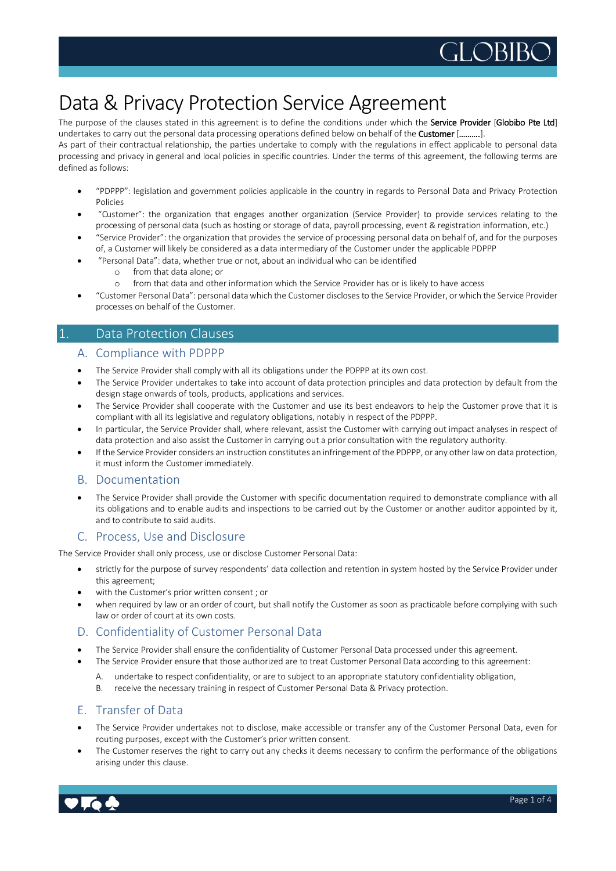

# Data & Privacy Protection Service Agreement

The purpose of the clauses stated in this agreement is to define the conditions under which the Service Provider [Globibo Pte Ltd] undertakes to carry out the personal data processing operations defined below on behalf of the Customer [……….].

As part of their contractual relationship, the parties undertake to comply with the regulations in effect applicable to personal data processing and privacy in general and local policies in specific countries. Under the terms of this agreement, the following terms are defined as follows:

- "PDPPP": legislation and government policies applicable in the country in regards to Personal Data and Privacy Protection Policies
- "Customer": the organization that engages another organization (Service Provider) to provide services relating to the processing of personal data (such as hosting or storage of data, payroll processing, event & registration information, etc.)
- "Service Provider": the organization that provides the service of processing personal data on behalf of, and for the purposes of, a Customer will likely be considered as a data intermediary of the Customer under the applicable PDPPP
- "Personal Data": data, whether true or not, about an individual who can be identified
	- o from that data alone; or
	- o from that data and other information which the Service Provider has or is likely to have access
- "Customer Personal Data": personal datawhich the Customer discloses to the Service Provider, orwhich the Service Provider processes on behalf of the Customer.

## 1. Data Protection Clauses

#### A. Compliance with PDPPP

- The Service Provider shall comply with all its obligations under the PDPPP at its own cost.
- The Service Provider undertakes to take into account of data protection principles and data protection by default from the design stage onwards of tools, products, applications and services.
- The Service Provider shall cooperate with the Customer and use its best endeavors to help the Customer prove that it is compliant with all its legislative and regulatory obligations, notably in respect of the PDPPP.
- In particular, the Service Provider shall, where relevant, assist the Customer with carrying out impact analyses in respect of data protection and also assist the Customer in carrying out a prior consultation with the regulatory authority.
- If the Service Provider considers an instruction constitutes an infringement ofthe PDPPP, or any other lawon data protection, it must inform the Customer immediately.

#### B. Documentation

 The Service Provider shall provide the Customer with specific documentation required to demonstrate compliance with all its obligations and to enable audits and inspections to be carried out by the Customer or another auditor appointed by it, and to contribute to said audits.

## C. Process, Use and Disclosure

The Service Provider shall only process, use or disclose Customer Personal Data:

- strictly for the purpose of survey respondents' data collection and retention in system hosted by the Service Provider under this agreement;
- with the Customer's prior written consent ; or
- when required by law or an order of court, but shall notify the Customer as soon as practicable before complying with such law or order of court at its own costs.

#### D. Confidentiality of Customer Personal Data

- The Service Provider shall ensure the confidentiality of Customer Personal Data processed under this agreement.
- The Service Provider ensure that those authorized are to treat Customer Personal Data according to this agreement:
	- A. undertake to respect confidentiality, or are to subject to an appropriate statutory confidentiality obligation,
	- B. receive the necessary training in respect of Customer Personal Data & Privacy protection.

## E. Transfer of Data

- The Service Provider undertakes not to disclose, make accessible or transfer any of the Customer Personal Data, even for routing purposes, except with the Customer's prior written consent.
- The Customer reserves the right to carry out any checks it deems necessary to confirm the performance of the obligations arising under this clause.

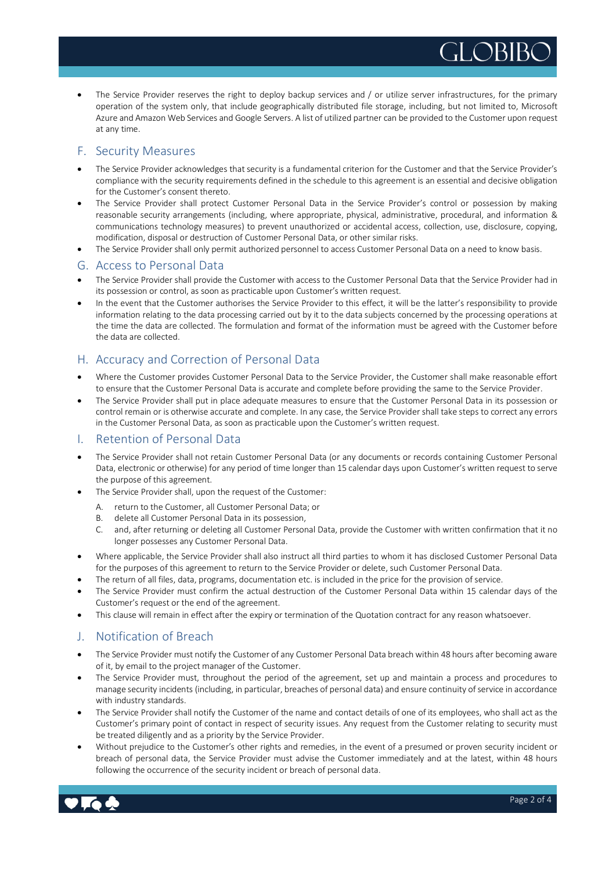The Service Provider reserves the right to deploy backup services and / or utilize server infrastructures, for the primary operation of the system only, that include geographically distributed file storage, including, but not limited to, Microsoft Azure and Amazon Web Services and Google Servers. A list of utilized partner can be provided to the Customer upon request at any time.

## F. Security Measures

- The Service Provider acknowledges that security is a fundamental criterion for the Customer and that the Service Provider's compliance with the security requirements defined in the schedule to this agreement is an essential and decisive obligation for the Customer's consent thereto.
- The Service Provider shall protect Customer Personal Data in the Service Provider's control or possession by making reasonable security arrangements (including, where appropriate, physical, administrative, procedural, and information & communications technology measures) to prevent unauthorized or accidental access, collection, use, disclosure, copying, modification, disposal or destruction of Customer Personal Data, or other similar risks.
- The Service Provider shall only permit authorized personnel to access Customer Personal Data on a need to know basis.

#### G. Access to Personal Data

- The Service Provider shall provide the Customer with access to the Customer Personal Data that the Service Provider had in its possession or control, as soon as practicable upon Customer's written request.
- In the event that the Customer authorises the Service Provider to this effect, it will be the latter's responsibility to provide information relating to the data processing carried out by it to the data subjects concerned by the processing operations at the time the data are collected. The formulation and format of the information must be agreed with the Customer before the data are collected.

## H. Accuracy and Correction of Personal Data

- Where the Customer provides Customer Personal Data to the Service Provider, the Customer shall make reasonable effort to ensure that the Customer Personal Data is accurate and complete before providing the same to the Service Provider.
- The Service Provider shall put in place adequate measures to ensure that the Customer Personal Data in its possession or control remain or is otherwise accurate and complete. In any case, the Service Providershall take steps to correct any errors in the Customer Personal Data, as soon as practicable upon the Customer's written request.

#### I. Retention of Personal Data

- The Service Provider shall not retain Customer Personal Data (or any documents or records containing Customer Personal Data, electronic or otherwise) for any period of time longer than 15 calendar days upon Customer's written request to serve the purpose of this agreement.
- The Service Provider shall, upon the request of the Customer:
	- A. return to the Customer, all Customer Personal Data; or
	- B. delete all Customer Personal Data in its possession,
	- C. and, after returning or deleting all Customer Personal Data, provide the Customer with written confirmation that it no longer possesses any Customer Personal Data.
- Where applicable, the Service Provider shall also instruct all third parties to whom it has disclosed Customer Personal Data for the purposes of this agreement to return to the Service Provider or delete, such Customer Personal Data.
- The return of all files, data, programs, documentation etc. is included in the price for the provision of service.
- The Service Provider must confirm the actual destruction of the Customer Personal Data within 15 calendar days of the Customer's request or the end of the agreement.
- This clause will remain in effect after the expiry or termination of the Quotation contract for any reason whatsoever.

## J. Notification of Breach

- The Service Provider must notify the Customer of any Customer Personal Data breach within 48 hours after becoming aware of it, by email to the project manager of the Customer.
- The Service Provider must, throughout the period of the agreement, set up and maintain a process and procedures to manage security incidents (including, in particular, breaches of personal data) and ensure continuity ofservice in accordance with industry standards.
- The Service Provider shall notify the Customer of the name and contact details of one of its employees, who shall act as the Customer's primary point of contact in respect of security issues. Any request from the Customer relating to security must be treated diligently and as a priority by the Service Provider.
- Without prejudice to the Customer's other rights and remedies, in the event of a presumed or proven security incident or breach of personal data, the Service Provider must advise the Customer immediately and at the latest, within 48 hours following the occurrence of the security incident or breach of personal data.

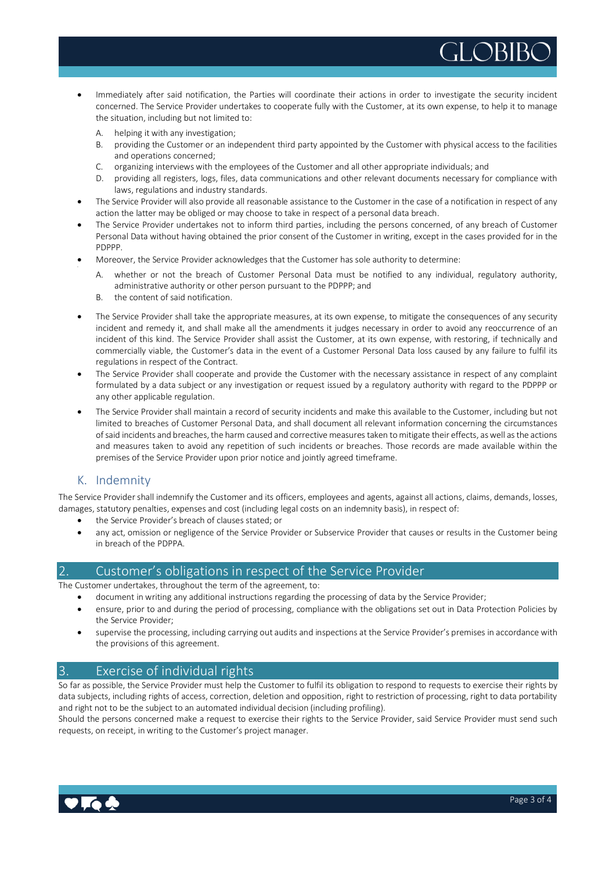- Immediately after said notification, the Parties will coordinate their actions in order to investigate the security incident concerned. The Service Provider undertakes to cooperate fully with the Customer, at its own expense, to help it to manage the situation, including but not limited to:
	- A. helping it with any investigation;
	- B. providing the Customer or an independent third party appointed by the Customer with physical access to the facilities and operations concerned;
	- C. organizing interviews with the employees of the Customer and all other appropriate individuals; and
	- D. providing all registers, logs, files, data communications and other relevant documents necessary for compliance with laws, regulations and industry standards.
- The Service Provider will also provide all reasonable assistance to the Customer in the case of a notification in respect of any action the latter may be obliged or may choose to take in respect of a personal data breach.
- The Service Provider undertakes not to inform third parties, including the persons concerned, of any breach of Customer Personal Data without having obtained the prior consent of the Customer in writing, except in the cases provided for in the PDPPP.
- Moreover, the Service Provider acknowledges that the Customer has sole authority to determine:
	- A. whether or not the breach of Customer Personal Data must be notified to any individual, regulatory authority, administrative authority or other person pursuant to the PDPPP; and
	- B. the content of said notification.
- The Service Provider shall take the appropriate measures, at its own expense, to mitigate the consequences of any security incident and remedy it, and shall make all the amendments it judges necessary in order to avoid any reoccurrence of an incident of this kind. The Service Provider shall assist the Customer, at its own expense, with restoring, if technically and commercially viable, the Customer's data in the event of a Customer Personal Data loss caused by any failure to fulfil its regulations in respect of the Contract.
- The Service Provider shall cooperate and provide the Customer with the necessary assistance in respect of any complaint formulated by a data subject or any investigation or request issued by a regulatory authority with regard to the PDPPP or any other applicable regulation.
- The Service Provider shall maintain a record of security incidents and make this available to the Customer, including but not limited to breaches of Customer Personal Data, and shall document all relevant information concerning the circumstances of said incidents and breaches, the harm caused and corrective measures taken to mitigate their effects, as well as the actions and measures taken to avoid any repetition of such incidents or breaches. Those records are made available within the premises of the Service Provider upon prior notice and jointly agreed timeframe.

# K. Indemnity

The Service Providershall indemnify the Customer and its officers, employees and agents, against all actions, claims, demands, losses, damages, statutory penalties, expenses and cost (including legal costs on an indemnity basis), in respect of:

- the Service Provider's breach of clauses stated; or
- any act, omission or negligence of the Service Provider or Subservice Provider that causes or results in the Customer being in breach of the PDPPA.

#### 2. Customer's obligations in respect of the Service Provider

The Customer undertakes, throughout the term of the agreement, to:

- document in writing any additional instructions regarding the processing of data by the Service Provider;
- ensure, prior to and during the period of processing, compliance with the obligations set out in Data Protection Policies by the Service Provider;
- supervise the processing, including carrying out audits and inspections at the Service Provider's premises in accordance with the provisions of this agreement.

## 3. Exercise of individual rights

So far as possible, the Service Provider must help the Customer to fulfil its obligation to respond to requests to exercise their rights by data subjects, including rights of access, correction, deletion and opposition, right to restriction of processing, right to data portability and right not to be the subject to an automated individual decision (including profiling).

Should the persons concerned make a request to exercise their rights to the Service Provider, said Service Provider must send such requests, on receipt, in writing to the Customer's project manager.